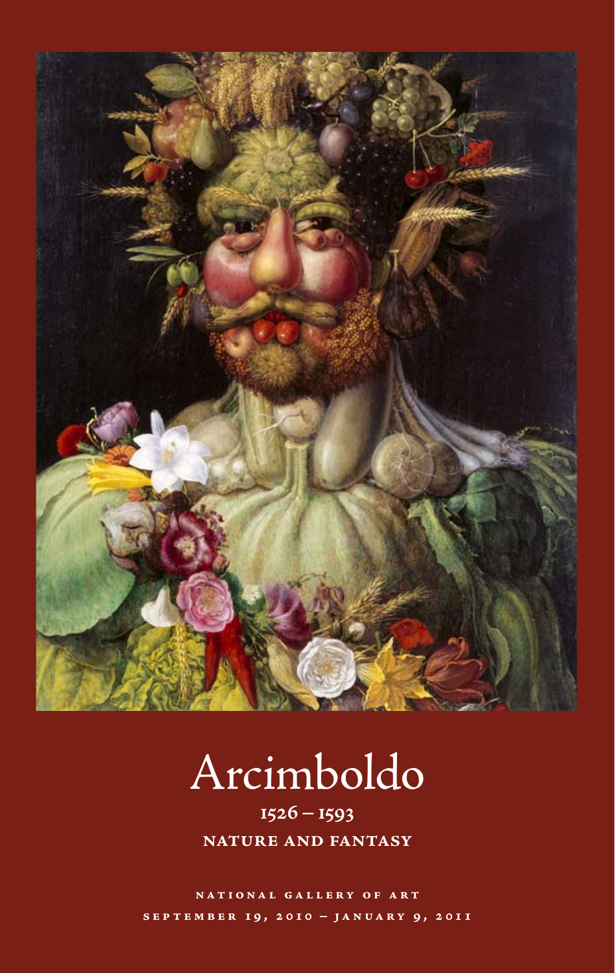

# Arcimboldo

**1526–1593 nature and fantasy**

**national gallery of art september 19, 2010 – january 9, 2011**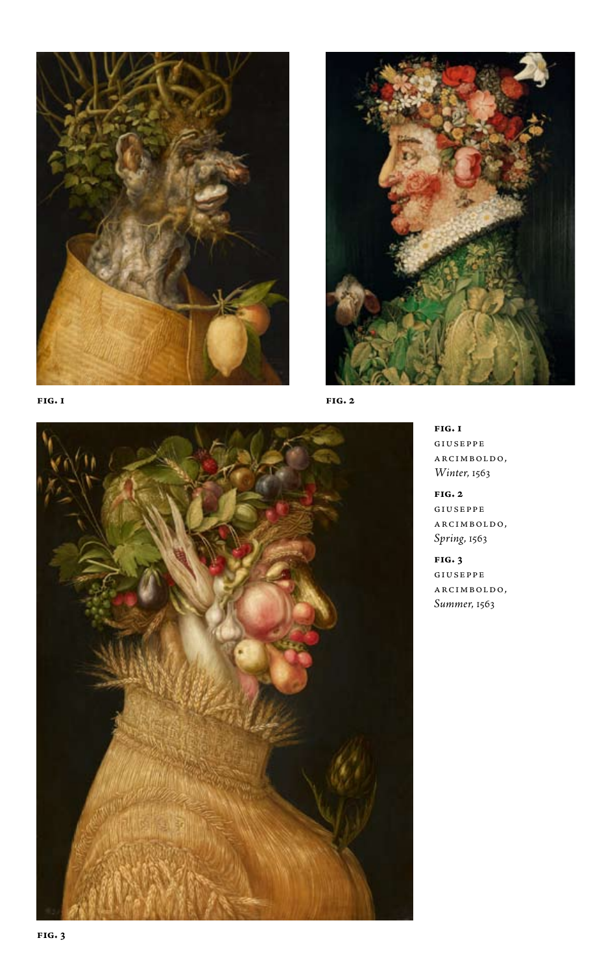





**fig. 2**



**fig. 1**

giuseppe  $\verb|ACIMBOLD0|,$ *Winter*, 1563

**fig. 2** giuseppe arcimboldo, *Spring*, 1563

**fig. 3** giuseppe arcimboldo, *Summer*, 1563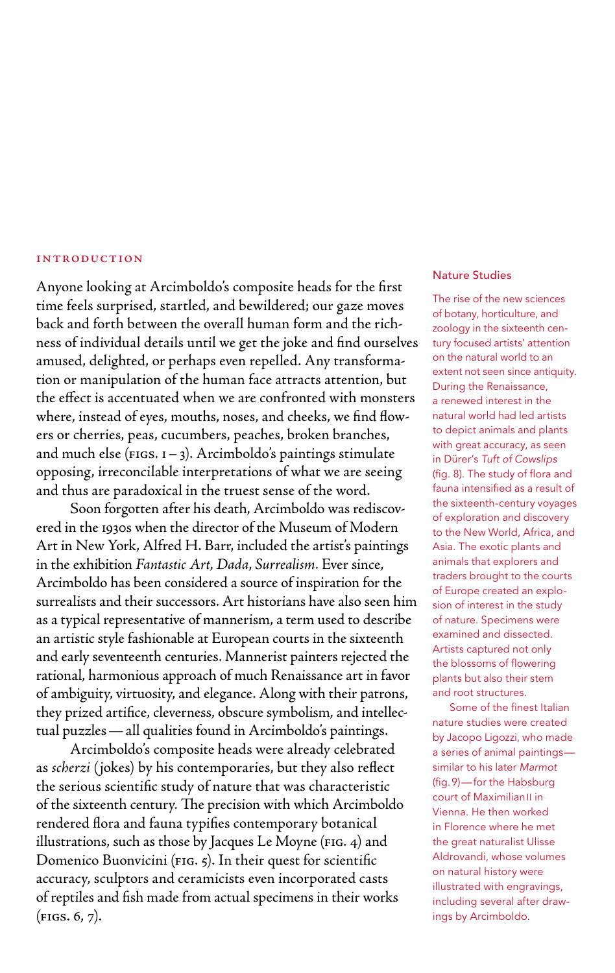## **INTRODUCTION**

Anyone looking at Arcimboldo's composite heads for the first time feels surprised, startled, and bewildered; our gaze moves back and forth between the overall human form and the richness of individual details until we get the joke and find ourselves amused, delighted, or perhaps even repelled. Any transformation or manipulation of the human face attracts attention, but the effect is accentuated when we are confronted with monsters where, instead of eyes, mouths, noses, and cheeks, we find flowers or cherries, peas, cucumbers, peaches, broken branches, and much else ( $FIGS. I - 3$ ). Arcimboldo's paintings stimulate opposing, irreconcilable interpretations of what we are seeing and thus are paradoxical in the truest sense of the word.

Soon forgotten after his death, Arcimboldo was rediscovered in the 1930s when the director of the Museum of Modern Art in New York, Alfred H. Barr, included the artist's paintings in the exhibition *Fantastic Art*, *Dada*, *Surrealism*. Ever since, Arcimboldo has been considered a source of inspiration for the surrealists and their successors. Art historians have also seen him as a typical representative of mannerism, a term used to describe an artistic style fashionable at European courts in the sixteenth and early seventeenth centuries. Mannerist painters rejected the rational, harmonious approach of much Renaissance art in favor of ambiguity, virtuosity, and elegance. Along with their patrons, they prized artifice, cleverness, obscure symbolism, and intellectual puzzles—all qualities found in Arcimboldo's paintings.

Arcimboldo's composite heads were already celebrated as *scherzi* (jokes) by his contemporaries, but they also reflect the serious scientific study of nature that was characteristic of the sixteenth century*.* The precision with which Arcimboldo rendered flora and fauna typifies contemporary botanical illustrations, such as those by Jacques Le Moyne (FIG. 4) and Domenico Buonvicini (fig. 5). In their quest for scientific accuracy, sculptors and ceramicists even incorporated casts of reptiles and fish made from actual specimens in their works  $(FIGS. 6, 7).$ 

## Nature Studies

The rise of the new sciences of botany, horticulture, and zoology in the sixteenth century focused artists' attention on the natural world to an extent not seen since antiquity. During the Renaissance, a renewed interest in the natural world had led artists to depict animals and plants with great accuracy, as seen in Dürer's *Tuft of Cowslips* (fig. 8). The study of flora and fauna intensified as a result of the sixteenth-century voyages of exploration and discovery to the New World, Africa, and Asia. The exotic plants and animals that explorers and traders brought to the courts of Europe created an explosion of interest in the study of nature. Specimens were examined and dissected. Artists captured not only the blossoms of flowering plants but also their stem and root structures.

Some of the finest Italian nature studies were created by Jacopo Ligozzi, who made a series of animal paintings similar to his later *Marmot* (fig.9)—for the Habsburg court of Maximilian<sup>II</sup> in Vienna. He then worked in Florence where he met the great naturalist Ulisse Aldrovandi, whose volumes on natural history were illustrated with engravings, including several after drawings by Arcimboldo.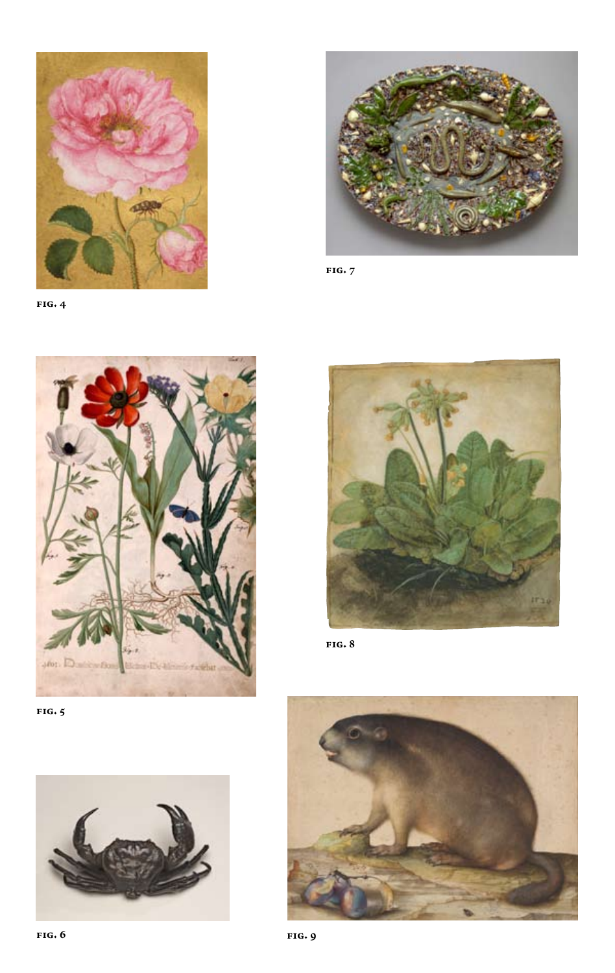

**fig. 4**



**fig. 7**



**fig. 5**





**fig. 8**

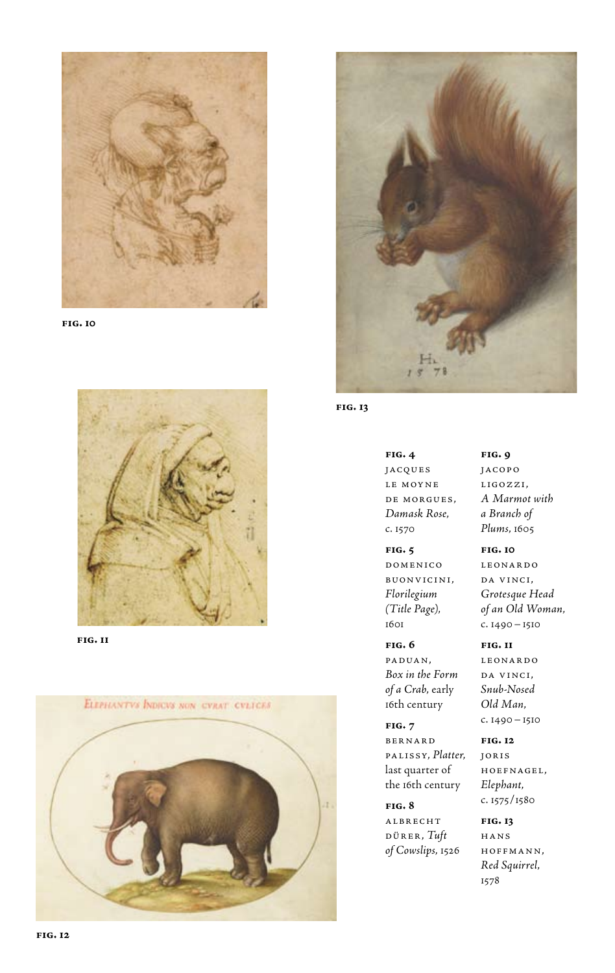

**fig. 10**



**fig. 11**





**fig. 13**

**fig. 4** jacques le moyne de morgues, *Damask Rose*, c. 1570

**fig. 5** domenico buonvicini, *Florilegium (Title Page)*, 1601

**fig. 6** paduan, *Box in the Form of a Crab*, early 16th century

**fig. 7** bernard palissy, *Platter*, last quarter of the 16th century

**fig. 8** albrecht dürer, *Tuft of Cowslips*, 1526

**fig. 9** jacopo ligozzi, *A Marmot with a Branch of Plums*, 1605

**fig. 10** leonardo da vinci, *Grotesque Head of an Old Woman*, c. 1490–1510

#### **fig. 11**

leonardo da vinci, *Snub-Nosed Old Man*, c. 1490–1510

**fig. 12** joris hoefnagel, *Elephant*, c. 1575/1580

**fig. 13** hans hoffmann, *Red Squirrel*, 1578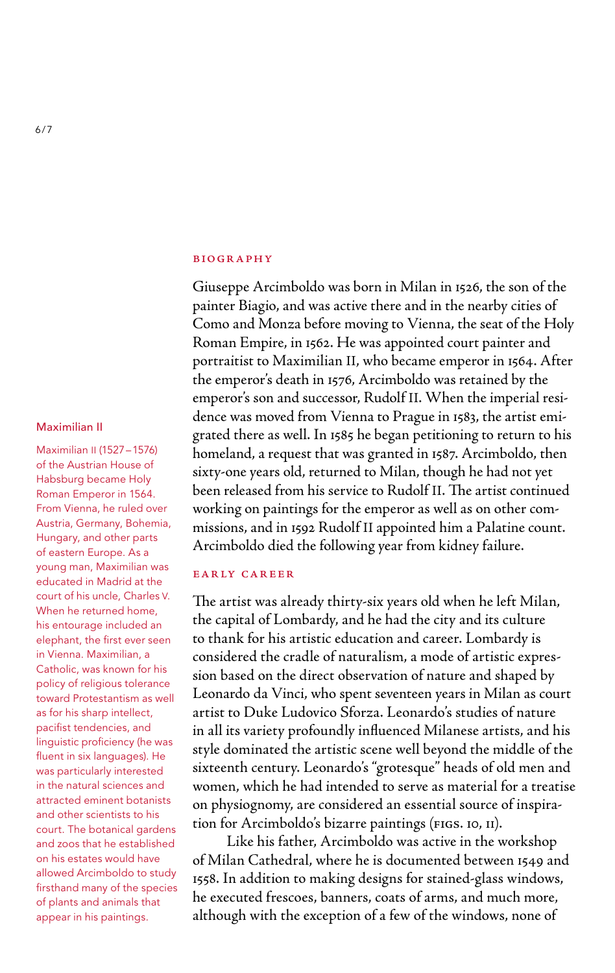## **BIOGRAPHY**

Giuseppe Arcimboldo was born in Milan in 1526, the son of the painter Biagio, and was active there and in the nearby cities of Como and Monza before moving to Vienna, the seat of the Holy Roman Empire, in 1562. He was appointed court painter and portraitist to Maximilian II, who became emperor in 1564. After the emperor's death in 1576, Arcimboldo was retained by the emperor's son and successor, Rudolf II. When the imperial residence was moved from Vienna to Prague in 1583, the artist emigrated there as well. In 1585 he began petitioning to return to his homeland, a request that was granted in 1587. Arcimboldo, then sixty-one years old, returned to Milan, though he had not yet been released from his service to Rudolf II. The artist continued working on paintings for the emperor as well as on other commissions, and in 1592 Rudolf II appointed him a Palatine count. Arcimboldo died the following year from kidney failure.

## early career

The artist was already thirty-six years old when he left Milan, the capital of Lombardy, and he had the city and its culture to thank for his artistic education and career. Lombardy is considered the cradle of naturalism, a mode of artistic expression based on the direct observation of nature and shaped by Leonardo da Vinci, who spent seventeen years in Milan as court artist to Duke Ludovico Sforza. Leonardo's studies of nature in all its variety profoundly influenced Milanese artists, and his style dominated the artistic scene well beyond the middle of the sixteenth century. Leonardo's "grotesque" heads of old men and women, which he had intended to serve as material for a treatise on physiognomy, are considered an essential source of inspiration for Arcimboldo's bizarre paintings (figs. 10, 11).

Like his father, Arcimboldo was active in the workshop of Milan Cathedral, where he is documented between 1549 and 1558. In addition to making designs for stained-glass windows, he executed frescoes, banners, coats of arms, and much more, although with the exception of a few of the windows, none of

## Maximilian II

Maximilian II (1527–1576) of the Austrian House of Habsburg became Holy Roman Emperor in 1564. From Vienna, he ruled over Austria, Germany, Bohemia, Hungary, and other parts of eastern Europe. As a young man, Maximilian was educated in Madrid at the court of his uncle, Charles V. When he returned home, his entourage included an elephant, the first ever seen in Vienna. Maximilian, a Catholic, was known for his policy of religious tolerance toward Protestantism as well as for his sharp intellect, pacifist tendencies, and linguistic proficiency (he was fluent in six languages). He was particularly interested in the natural sciences and attracted eminent botanists and other scientists to his court. The botanical gardens and zoos that he established on his estates would have allowed Arcimboldo to study firsthand many of the species of plants and animals that appear in his paintings.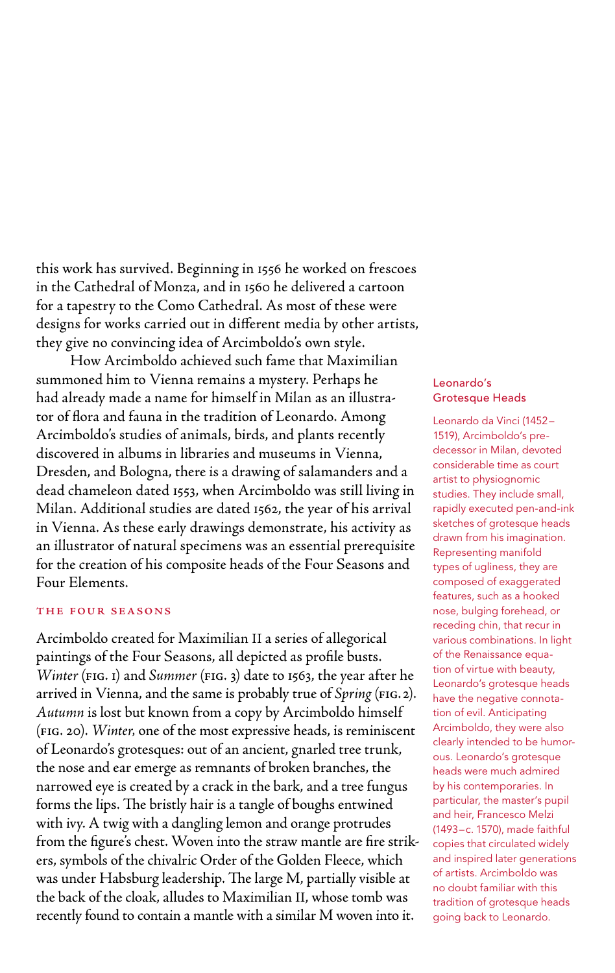this work has survived. Beginning in 1556 he worked on frescoes in the Cathedral of Monza, and in 1560 he delivered a cartoon for a tapestry to the Como Cathedral. As most of these were designs for works carried out in different media by other artists, they give no convincing idea of Arcimboldo's own style.

How Arcimboldo achieved such fame that Maximilian summoned him to Vienna remains a mystery. Perhaps he had already made a name for himself in Milan as an illustrator of flora and fauna in the tradition of Leonardo. Among Arcimboldo's studies of animals, birds, and plants recently discovered in albums in libraries and museums in Vienna, Dresden, and Bologna, there is a drawing of salamanders and a dead chameleon dated 1553, when Arcimboldo was still living in Milan. Additional studies are dated 1562, the year of his arrival in Vienna. As these early drawings demonstrate, his activity as an illustrator of natural specimens was an essential prerequisite for the creation of his composite heads of the Four Seasons and Four Elements.

## the four seasons

Arcimboldo created for Maximilian II a series of allegorical paintings of the Four Seasons, all depicted as profile busts. *Winter* (FIG. 1) and *Summer* (FIG. 3) date to 1563, the year after he arrived in Vienna, and the same is probably true of *Spring* (fig.2). *Autumn* is lost but known from a copy by Arcimboldo himself (fig. 20). *Winter,* one of the most expressive heads, is reminiscent of Leonardo's grotesques: out of an ancient, gnarled tree trunk, the nose and ear emerge as remnants of broken branches, the narrowed eye is created by a crack in the bark, and a tree fungus forms the lips. The bristly hair is a tangle of boughs entwined with ivy. A twig with a dangling lemon and orange protrudes from the figure's chest. Woven into the straw mantle are fire strikers, symbols of the chivalric Order of the Golden Fleece, which was under Habsburg leadership. The large M, partially visible at the back of the cloak, alludes to Maximilian II, whose tomb was recently found to contain a mantle with a similar M woven into it.

## Leonardo's Grotesque Heads

Leonardo da Vinci (1452– 1519), Arcimboldo's predecessor in Milan, devoted considerable time as court artist to physiognomic studies. They include small, rapidly executed pen-and-ink sketches of grotesque heads drawn from his imagination. Representing manifold types of ugliness, they are composed of exaggerated features, such as a hooked nose, bulging forehead, or receding chin, that recur in various combinations. In light of the Renaissance equation of virtue with beauty, Leonardo's grotesque heads have the negative connotation of evil. Anticipating Arcimboldo, they were also clearly intended to be humorous. Leonardo's grotesque heads were much admired by his contemporaries. In particular, the master's pupil and heir, Francesco Melzi (1493–c. 1570), made faithful copies that circulated widely and inspired later generations of artists. Arcimboldo was no doubt familiar with this tradition of grotesque heads going back to Leonardo.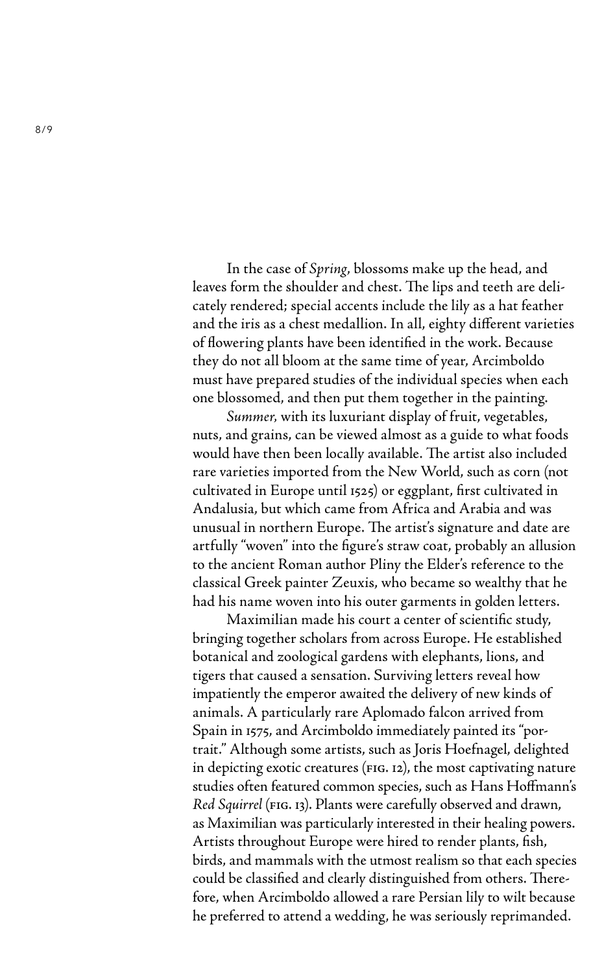In the case of *Spring*, blossoms make up the head, and leaves form the shoulder and chest. The lips and teeth are delicately rendered; special accents include the lily as a hat feather and the iris as a chest medallion. In all, eighty different varieties of flowering plants have been identified in the work. Because they do not all bloom at the same time of year, Arcimboldo must have prepared studies of the individual species when each one blossomed, and then put them together in the painting.

*Summer,* with its luxuriant display of fruit, vegetables, nuts, and grains, can be viewed almost as a guide to what foods would have then been locally available. The artist also included rare varieties imported from the New World, such as corn (not cultivated in Europe until 1525) or eggplant, first cultivated in Andalusia, but which came from Africa and Arabia and was unusual in northern Europe. The artist's signature and date are artfully "woven" into the figure's straw coat, probably an allusion to the ancient Roman author Pliny the Elder's reference to the classical Greek painter Zeuxis, who became so wealthy that he had his name woven into his outer garments in golden letters.

Maximilian made his court a center of scientific study, bringing together scholars from across Europe. He established botanical and zoological gardens with elephants, lions, and tigers that caused a sensation. Surviving letters reveal how impatiently the emperor awaited the delivery of new kinds of animals. A particularly rare Aplomado falcon arrived from Spain in 1575, and Arcimboldo immediately painted its "portrait." Although some artists, such as Joris Hoefnagel, delighted in depicting exotic creatures (fig. 12), the most captivating nature studies often featured common species, such as Hans Hoffmann's *Red Squirrel* (fig. 13). Plants were carefully observed and drawn, as Maximilian was particularly interested in their healing powers. Artists throughout Europe were hired to render plants, fish, birds, and mammals with the utmost realism so that each species could be classified and clearly distinguished from others. Therefore, when Arcimboldo allowed a rare Persian lily to wilt because he preferred to attend a wedding, he was seriously reprimanded.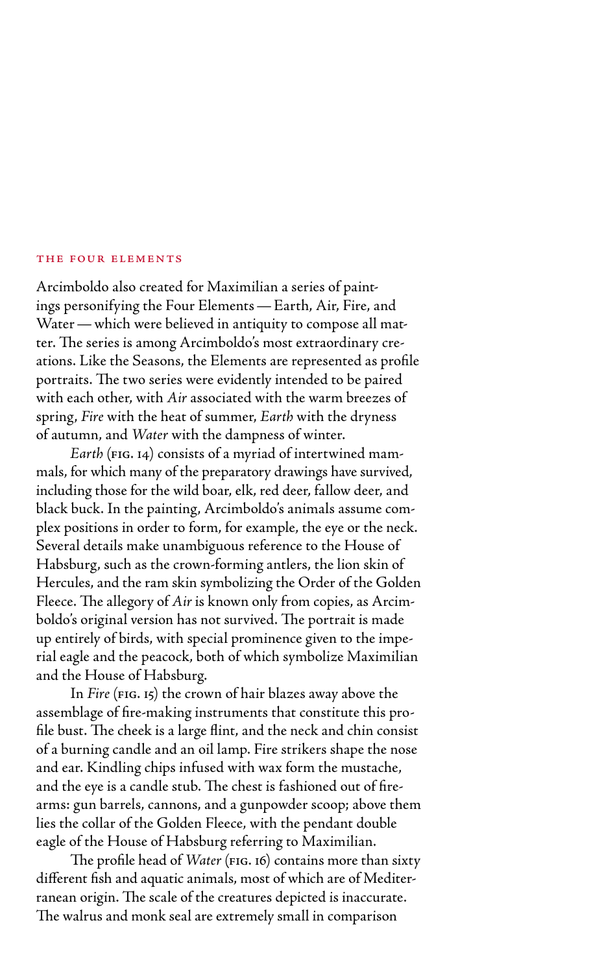## the four elements

Arcimboldo also created for Maximilian a series of paintings personifying the Four Elements—Earth, Air, Fire, and Water—which were believed in antiquity to compose all matter. The series is among Arcimboldo's most extraordinary creations. Like the Seasons, the Elements are represented as profile portraits. The two series were evidently intended to be paired with each other, with *Air* associated with the warm breezes of spring, *Fire* with the heat of summer, *Earth* with the dryness of autumn, and *Water* with the dampness of winter.

*Earth* (FIG. 14) consists of a myriad of intertwined mammals, for which many of the preparatory drawings have survived, including those for the wild boar, elk, red deer, fallow deer, and black buck. In the painting, Arcimboldo's animals assume complex positions in order to form, for example, the eye or the neck. Several details make unambiguous reference to the House of Habsburg, such as the crown-forming antlers, the lion skin of Hercules, and the ram skin symbolizing the Order of the Golden Fleece. The allegory of *Air* is known only from copies, as Arcimboldo's original version has not survived. The portrait is made up entirely of birds, with special prominence given to the imperial eagle and the peacock, both of which symbolize Maximilian and the House of Habsburg.

In *Fire* (fig. 15) the crown of hair blazes away above the assemblage of fire-making instruments that constitute this profile bust. The cheek is a large flint, and the neck and chin consist of a burning candle and an oil lamp. Fire strikers shape the nose and ear. Kindling chips infused with wax form the mustache, and the eye is a candle stub. The chest is fashioned out of firearms: gun barrels, cannons, and a gunpowder scoop; above them lies the collar of the Golden Fleece, with the pendant double eagle of the House of Habsburg referring to Maximilian.

The profile head of *Water* (FIG. 16) contains more than sixty different fish and aquatic animals, most of which are of Mediterranean origin. The scale of the creatures depicted is inaccurate. The walrus and monk seal are extremely small in comparison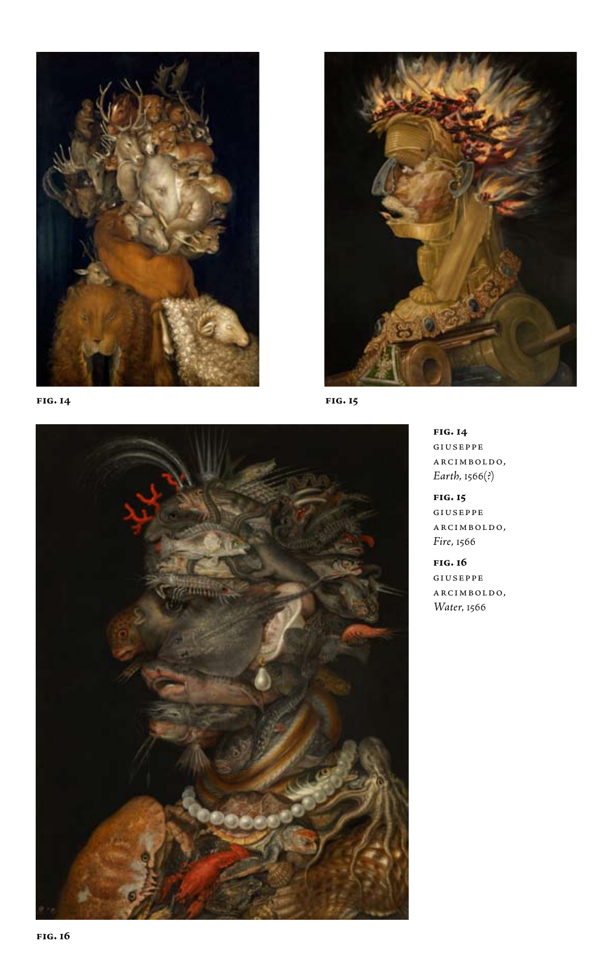





**fig. 14** giuseppe arcimboldo, *Earth*, 1566(?)

**fig. 15** giuseppe arcimboldo, *Fire*, 1566

**fig. 16** giuseppe arcimboldo, *Water*, 1566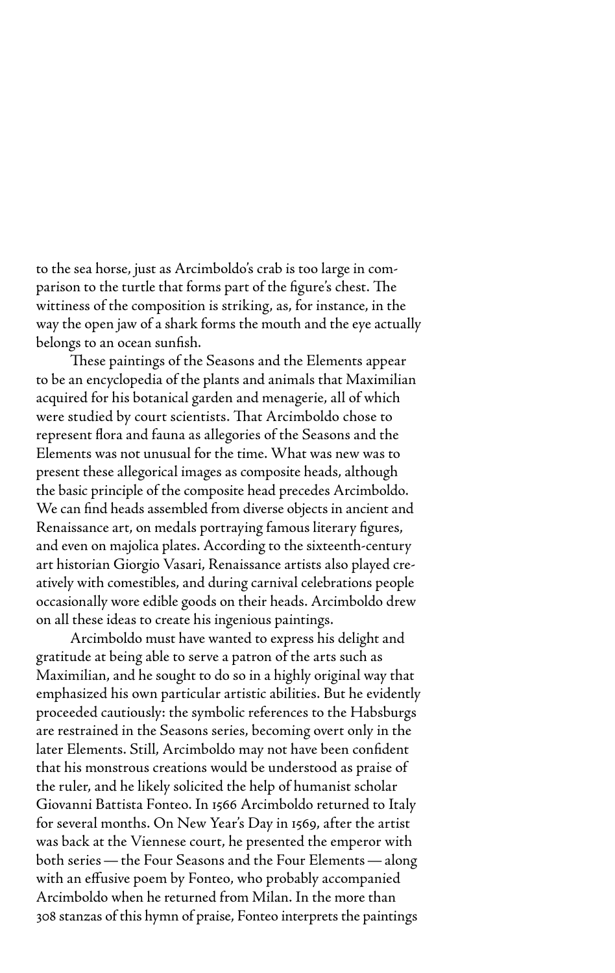to the sea horse, just as Arcimboldo's crab is too large in comparison to the turtle that forms part of the figure's chest. The wittiness of the composition is striking, as, for instance, in the way the open jaw of a shark forms the mouth and the eye actually belongs to an ocean sunfish.

These paintings of the Seasons and the Elements appear to be an encyclopedia of the plants and animals that Maximilian acquired for his botanical garden and menagerie, all of which were studied by court scientists. That Arcimboldo chose to represent flora and fauna as allegories of the Seasons and the Elements was not unusual for the time. What was new was to present these allegorical images as composite heads, although the basic principle of the composite head precedes Arcimboldo. We can find heads assembled from diverse objects in ancient and Renaissance art, on medals portraying famous literary figures, and even on majolica plates. According to the sixteenth-century art historian Giorgio Vasari, Renaissance artists also played creatively with comestibles, and during carnival celebrations people occasionally wore edible goods on their heads. Arcimboldo drew on all these ideas to create his ingenious paintings.

Arcimboldo must have wanted to express his delight and gratitude at being able to serve a patron of the arts such as Maximilian, and he sought to do so in a highly original way that emphasized his own particular artistic abilities. But he evidently proceeded cautiously: the symbolic references to the Habsburgs are restrained in the Seasons series, becoming overt only in the later Elements. Still, Arcimboldo may not have been confident that his monstrous creations would be understood as praise of the ruler, and he likely solicited the help of humanist scholar Giovanni Battista Fonteo. In 1566 Arcimboldo returned to Italy for several months. On New Year's Day in 1569, after the artist was back at the Viennese court, he presented the emperor with both series—the Four Seasons and the Four Elements—along with an effusive poem by Fonteo, who probably accompanied Arcimboldo when he returned from Milan. In the more than 308 stanzas of this hymn of praise, Fonteo interprets the paintings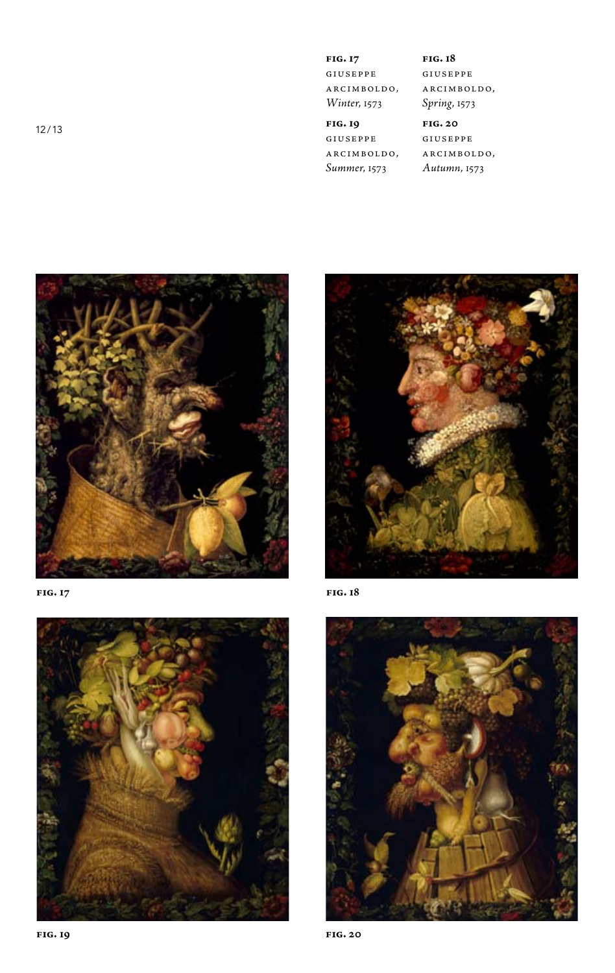12/13

**fig. 17** giuseppe arcimboldo, *Winter*, 1573

**fig. 18** giuseppe arcimboldo, *Spring*, 1573

## **fig. 19** giuseppe arcimboldo,

*Summer*, 1573

**fig. 20** giuseppe arcimboldo, *Autumn*, 1573



**fig. 17**





**fig. 18**

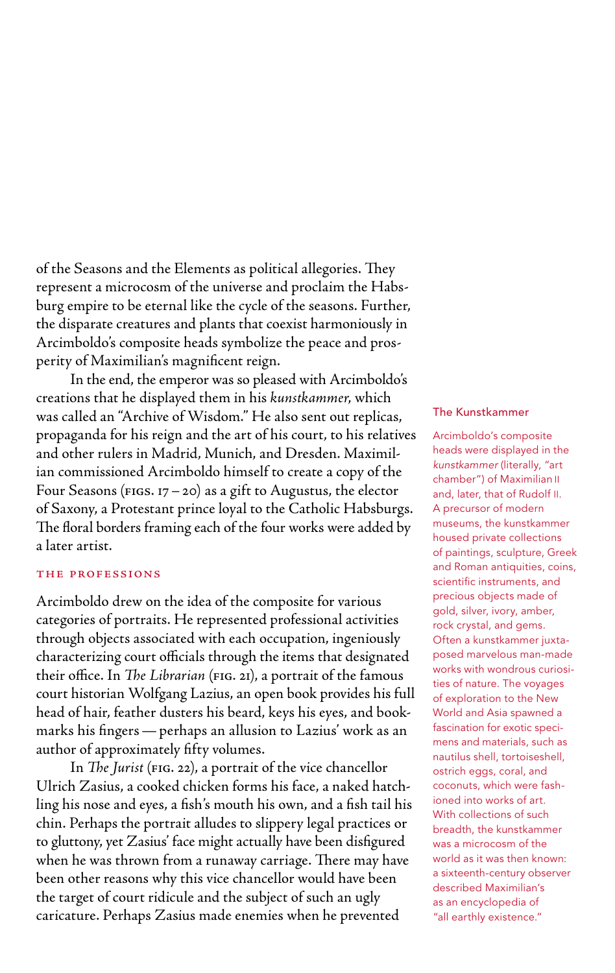of the Seasons and the Elements as political allegories. They represent a microcosm of the universe and proclaim the Habsburg empire to be eternal like the cycle of the seasons. Further, the disparate creatures and plants that coexist harmoniously in Arcimboldo's composite heads symbolize the peace and prosperity of Maximilian's magnificent reign.

In the end, the emperor was so pleased with Arcimboldo's creations that he displayed them in his *kunstkammer*, which was called an "Archive of Wisdom." He also sent out replicas, propaganda for his reign and the art of his court, to his relatives and other rulers in Madrid, Munich, and Dresden. Maximilian commissioned Arcimboldo himself to create a copy of the Four Seasons ( $FIGS. 17-20$ ) as a gift to Augustus, the elector of Saxony, a Protestant prince loyal to the Catholic Habsburgs. The floral borders framing each of the four works were added by a later artist.

## the professions

Arcimboldo drew on the idea of the composite for various categories of portraits. He represented professional activities through objects associated with each occupation, ingeniously characterizing court officials through the items that designated their office. In *The Librarian* (fig. 21), a portrait of the famous court historian Wolfgang Lazius, an open book provides his full head of hair, feather dusters his beard, keys his eyes, and bookmarks his fingers—perhaps an allusion to Lazius' work as an author of approximately fifty volumes.

In *The Jurist* (FIG. 22), a portrait of the vice chancellor Ulrich Zasius, a cooked chicken forms his face, a naked hatchling his nose and eyes, a fish's mouth his own, and a fish tail his chin. Perhaps the portrait alludes to slippery legal practices or to gluttony, yet Zasius' face might actually have been disfigured when he was thrown from a runaway carriage. There may have been other reasons why this vice chancellor would have been the target of court ridicule and the subject of such an ugly caricature. Perhaps Zasius made enemies when he prevented

## The Kunstkammer

Arcimboldo's composite heads were displayed in the *kunstkammer* (literally, "art chamber") of Maximilian II and, later, that of Rudolf II. A precursor of modern museums, the kunstkammer housed private collections of paintings, sculpture, Greek and Roman antiquities, coins, scientific instruments, and precious objects made of gold, silver, ivory, amber, rock crystal, and gems. Often a kunstkammer juxtaposed marvelous man-made works with wondrous curiosities of nature. The voyages of exploration to the New World and Asia spawned a fascination for exotic specimens and materials, such as nautilus shell, tortoiseshell, ostrich eggs, coral, and coconuts, which were fashioned into works of art. With collections of such breadth, the kunstkammer was a microcosm of the world as it was then known: a sixteenth-century observer described Maximilian's as an encyclopedia of "all earthly existence."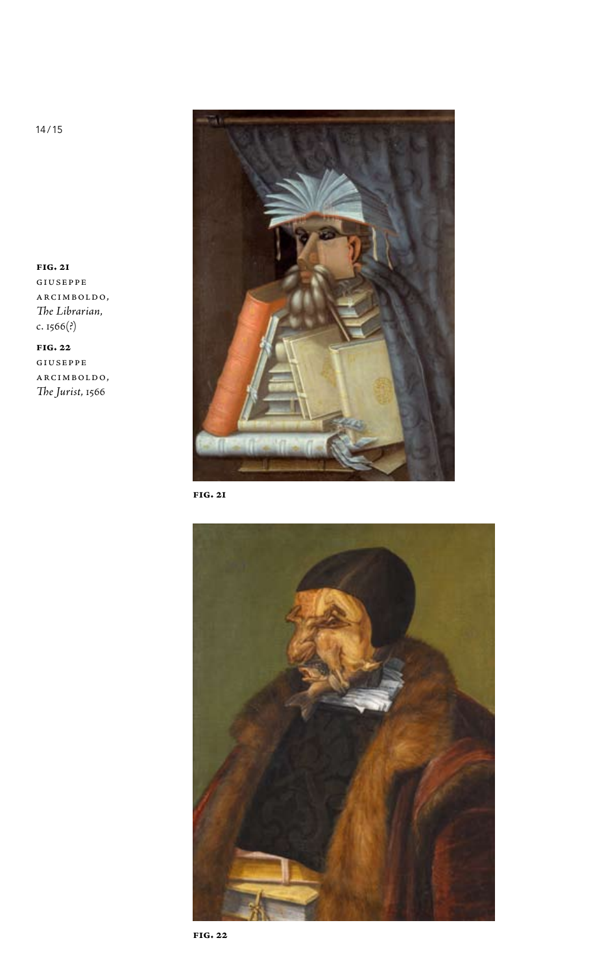

**fig. 21**



**fig. 21** giuseppe arcimboldo, *The Librarian*, c. 1566(?)

**fig. 22** giuseppe arcimboldo, *The Jurist*, 1566

14/15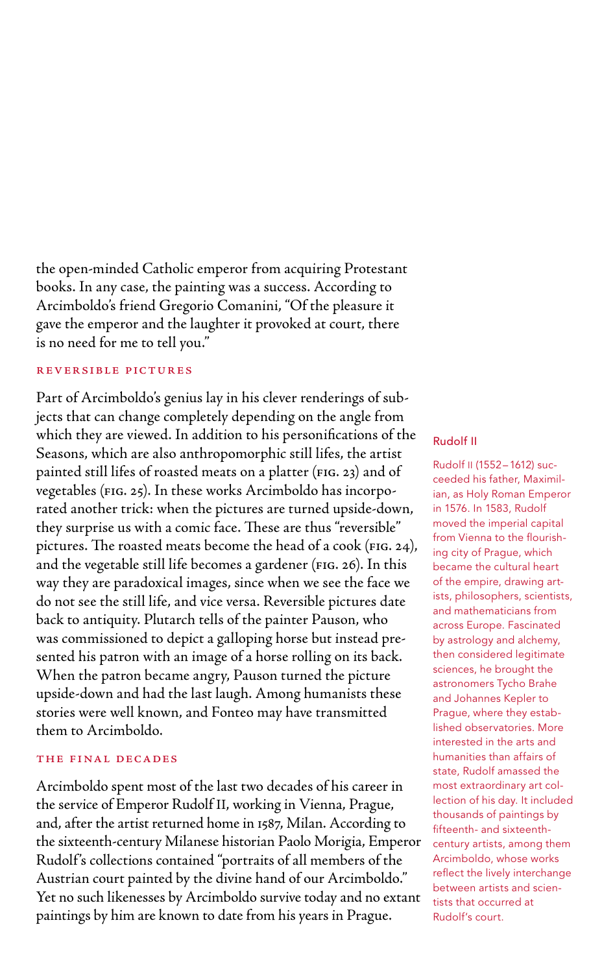the open-minded Catholic emperor from acquiring Protestant books. In any case, the painting was a success. According to Arcimboldo's friend Gregorio Comanini, "Of the pleasure it gave the emperor and the laughter it provoked at court, there is no need for me to tell you."

## reversible pictures

Part of Arcimboldo's genius lay in his clever renderings of subjects that can change completely depending on the angle from which they are viewed. In addition to his personifications of the Seasons, which are also anthropomorphic still lifes, the artist painted still lifes of roasted meats on a platter (fig. 23) and of vegetables (fig. 25). In these works Arcimboldo has incorporated another trick: when the pictures are turned upside-down, they surprise us with a comic face. These are thus "reversible" pictures. The roasted meats become the head of a cook ( $FIG. 24$ ), and the vegetable still life becomes a gardener (FIG. 26). In this way they are paradoxical images, since when we see the face we do not see the still life, and vice versa. Reversible pictures date back to antiquity. Plutarch tells of the painter Pauson, who was commissioned to depict a galloping horse but instead presented his patron with an image of a horse rolling on its back. When the patron became angry, Pauson turned the picture upside-down and had the last laugh. Among humanists these stories were well known, and Fonteo may have transmitted them to Arcimboldo.

## the final decades

Arcimboldo spent most of the last two decades of his career in the service of Emperor Rudolf II, working in Vienna, Prague, and, after the artist returned home in 1587, Milan. According to the sixteenth-century Milanese historian Paolo Morigia, Emperor Rudolf 's collections contained "portraits of all members of the Austrian court painted by the divine hand of our Arcimboldo." Yet no such likenesses by Arcimboldo survive today and no extant paintings by him are known to date from his years in Prague.

## Rudolf II

Rudolf II (1552–1612) succeeded his father, Maximilian, as Holy Roman Emperor in 1576. In 1583, Rudolf moved the imperial capital from Vienna to the flourishing city of Prague, which became the cultural heart of the empire, drawing artists, philosophers, scientists, and mathematicians from across Europe. Fascinated by astrology and alchemy, then considered legitimate sciences, he brought the astronomers Tycho Brahe and Johannes Kepler to Prague, where they established observatories. More interested in the arts and humanities than affairs of state, Rudolf amassed the most extraordinary art collection of his day. It included thousands of paintings by fifteenth- and sixteenthcentury artists, among them Arcimboldo, whose works reflect the lively interchange between artists and scientists that occurred at Rudolf's court.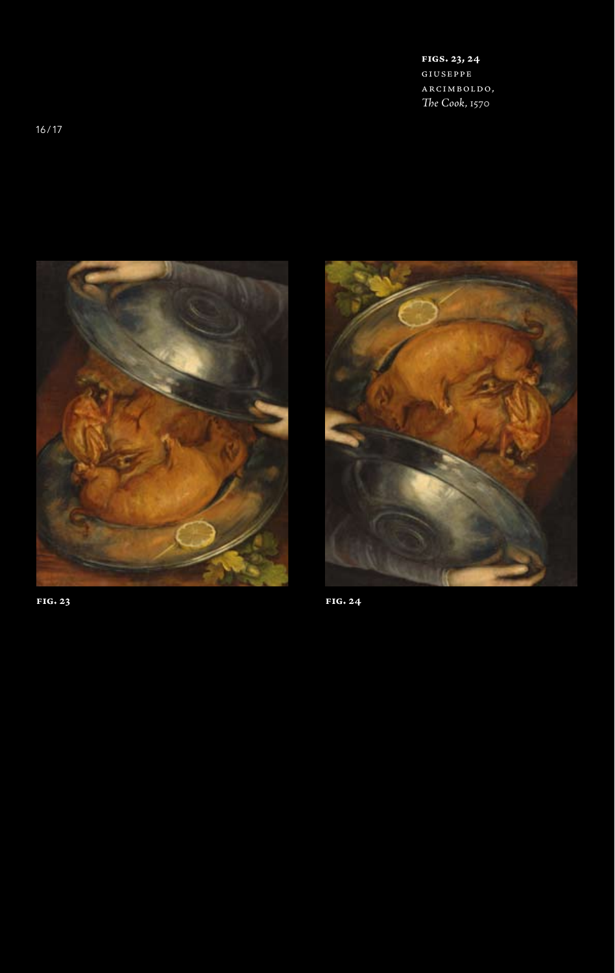**figs. 23, 24** giuseppe arcimboldo, *The Cook*, 1570





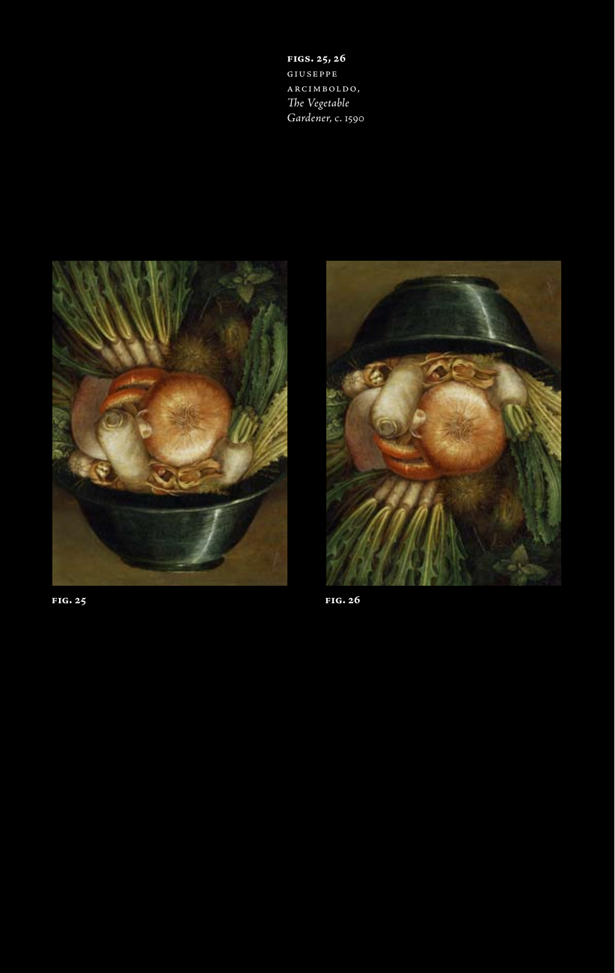**figs. 25, 26** giuseppe arcimboldo, *The Vegetable Gardener*, c. 1590



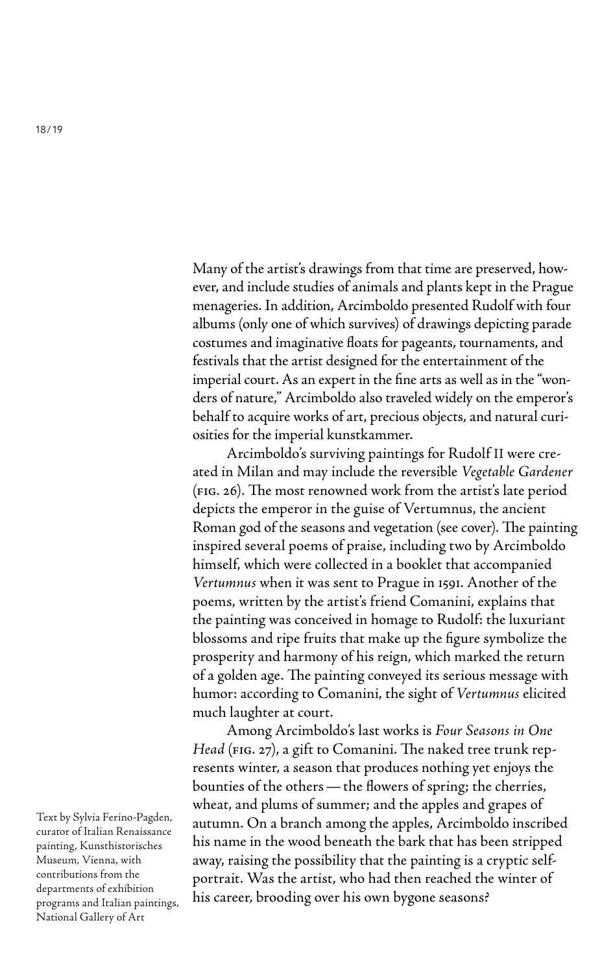Many of the artist's drawings from that time are preserved, however, and include studies of animals and plants kept in the Prague menageries. In addition, Arcimboldo presented Rudolf with four albums (only one of which survives) of drawings depicting parade costumes and imaginative floats for pageants, tournaments, and festivals that the artist designed for the entertainment of the imperial court. As an expert in the fine arts as well as in the "wonders of nature," Arcimboldo also traveled widely on the emperor's behalf to acquire works of art, precious objects, and natural curiosities for the imperial kunstkammer.

Arcimboldo's surviving paintings for Rudolf II were created in Milan and may include the reversible *Vegetable Gardener* (fig. 26). The most renowned work from the artist's late period depicts the emperor in the guise of Vertumnus, the ancient Roman god of the seasons and vegetation (see cover). The painting inspired several poems of praise, including two by Arcimboldo himself, which were collected in a booklet that accompanied *Vertumnus* when it was sent to Prague in 1591. Another of the poems, written by the artist's friend Comanini, explains that the painting was conceived in homage to Rudolf: the luxuriant blossoms and ripe fruits that make up the figure symbolize the prosperity and harmony of his reign, which marked the return of a golden age. The painting conveyed its serious message with humor: according to Comanini, the sight of *Vertumnus* elicited much laughter at court.

Among Arcimboldo's last works is *Four Seasons in One Head* (FIG. 27), a gift to Comanini. The naked tree trunk represents winter, a season that produces nothing yet enjoys the bounties of the others—the flowers of spring; the cherries, wheat, and plums of summer; and the apples and grapes of autumn. On a branch among the apples, Arcimboldo inscribed his name in the wood beneath the bark that has been stripped away, raising the possibility that the painting is a cryptic selfportrait. Was the artist, who had then reached the winter of his career, brooding over his own bygone seasons?

Text by Sylvia Ferino-Pagden, curator of Italian Renaissance painting, Kunsthistorisches Museum, Vienna, with contributions from the departments of exhibition programs and Italian paintings, National Gallery of Art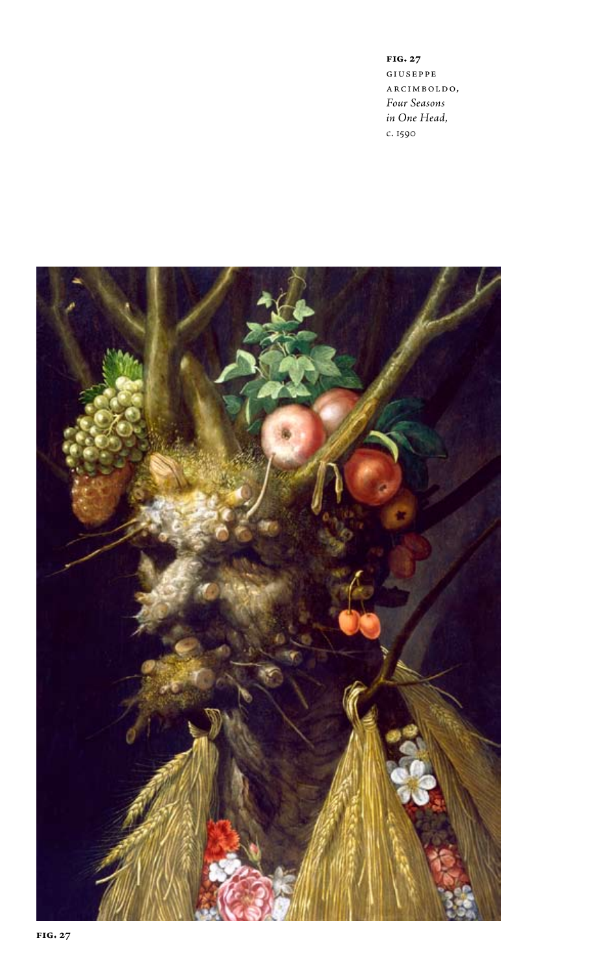**fig. 27**  giuseppe arcimboldo, *Four Seasons in One Head*, c. 1590

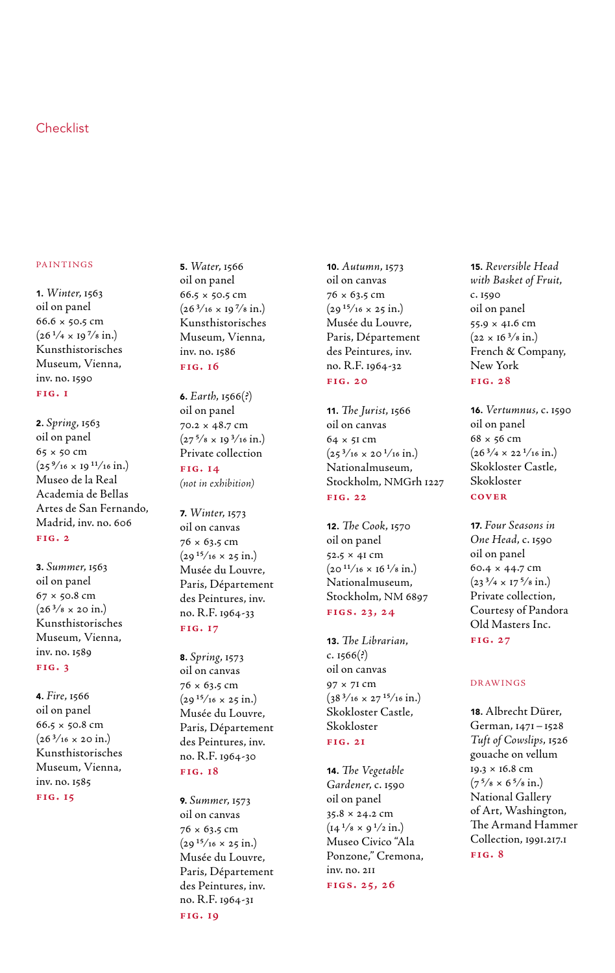# Checklist

#### paintings

1. *Winter*, 1563 oil on panel 66.6 × 50.5 cm  $(26 \frac{1}{4} \times 19 \frac{7}{8} \text{ in.})$ Kunsthistorisches Museum, Vienna, inv. no. 1590 **fig. 1**

2. *Spring*, 1563 oil on panel 65 × 50 cm  $(25\frac{9}{16} \times 19\frac{11}{16} \text{ in.})$ Museo de la Real Academia de Bellas Artes de San Fernando, Madrid, inv. no. 606 **fig. 2**

3. *Summer*, 1563 oil on panel  $67 \times 50.8$  cm  $(26 \frac{3}{8} \times 20 \text{ in.})$ Kunsthistorisches Museum, Vienna, inv. no. 1589 **fig. 3**

4. *Fire*, 1566 oil on panel 66.5 × 50.8 cm  $(26\frac{3}{16} \times 20 \text{ in.})$ Kunsthistorisches Museum, Vienna, inv. no. 1585

**fig. 15**

5. *Water*, 1566 oil on panel 66.5 × 50.5 cm  $(26^{3}/_{16} \times 19^{7}/_{8} \text{ in.})$ Kunsthistorisches Museum, Vienna, inv. no. 1586 **fig. 16**

6. *Earth*, 1566(?) oil on panel 70.2 × 48.7 cm  $(27<sup>5</sup>/s \times 19<sup>3</sup>/16 \text{ in.})$ Private collection **fig. 14**

*(not in exhibition)*

7. *Winter*, 1573 oil on canvas 76 × 63.5 cm  $(29^{15}/16 \times 25 \text{ in.})$ Musée du Louvre, Paris, Département des Peintures, inv. no. R.F. 1964-33 **fig. 17**

8. *Spring*, 1573 oil on canvas 76 × 63.5 cm  $(29^{15}/16 \times 25 \text{ in.})$ Musée du Louvre, Paris, Département des Peintures, inv. no. R.F. 1964-30 **fig. 18**

9. *Summer*, 1573 oil on canvas 76 × 63.5 cm  $(29^{15}/16 \times 25 \text{ in.})$ Musée du Louvre, Paris, Département des Peintures, inv. no. R.F. 1964-31 **fig. 19**

10. *Autumn*, 1573 oil on canvas 76 × 63.5 cm  $(29^{15}/16 \times 25 \text{ in.})$ Musée du Louvre, Paris, Département des Peintures, inv. no. R.F. 1964-32 **fig. 20**

11. *The Jurist*, 1566 oil on canvas 64 × 51 cm  $(25^{3}/16 \times 20^{1}/16 \text{ in.})$ Nationalmuseum, Stockholm, NMGrh 1227 **fig. 22**

12. *The Cook*, 1570 oil on panel 52.5 × 41 cm  $(20^{11}/16 \times 16^{1}/8 \text{ in.})$ Nationalmuseum, Stockholm, NM 6897 **figs. 23, 24**

13. *The Librarian*, c.  $1566$  $(?)$ oil on canvas 97 × 71 cm  $(38\frac{3}{16} \times 27\frac{15}{16} \text{ in.})$ Skokloster Castle, Skokloster **fig. 21**

14. *The Vegetable Gardener*, c. 1590 oil on panel 35.8 × 24.2 cm  $(14^{1}/8 \times 9^{1}/2 \text{ in.})$ Museo Civico "Ala Ponzone," Cremona, inv. no. 211 **figs. 25, 26**

15. *Reversible Head with Basket of Fruit*, c. 1590 oil on panel 55.9 × 41.6 cm  $(22 \times 16^{3}/8 \text{ in.})$ French & Company, New York **fig. 28**

16. *Vertumnus*, c. 1590 oil on panel  $68 \times 56$  cm  $(26^{3}/4 \times 22^{1}/16 \text{ in.})$ Skokloster Castle, Skokloster **cover**

17. *Four Seasons in One Head*, c. 1590 oil on panel 60.4 × 44.7 cm  $(23<sup>3</sup>/4 \times 17<sup>5</sup>/8 \text{ in.})$ Private collection, Courtesy of Pandora Old Masters Inc. **fig. 27**

### Drawings

18. Albrecht Dürer, German, 1471–1528 *Tuft of Cowslips*, 1526 gouache on vellum 19.3 × 16.8 cm  $(7^{5}/\text{s} \times 6^{5}/\text{s} \text{ in.})$ National Gallery of Art, Washington, The Armand Hammer Collection, 1991.217.1 **fig. 8**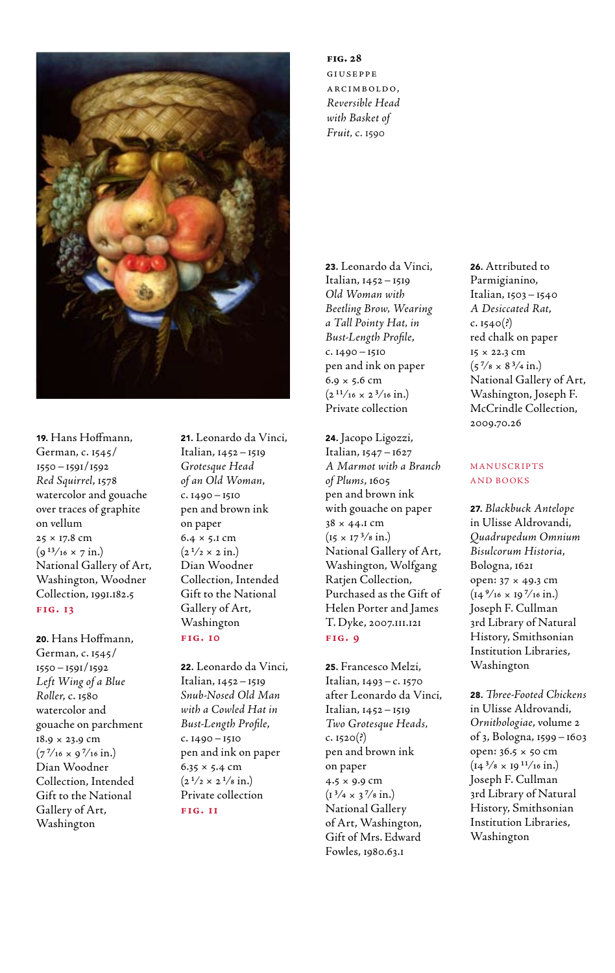

19. Hans Hoffmann, German, c. 1545/ 1550–1591/1592 *Red Squirrel*, 1578 watercolor and gouache over traces of graphite on vellum 25 × 17.8 cm  $(g^{13}/_{16} \times 7 \text{ in.})$ National Gallery of Art, Washington, Woodner Collection, 1991.182.5 **fig. 13**

20. Hans Hoffmann, German, c. 1545/ 1550–1591/1592 *Left Wing of a Blue Roller*, c. 1580 watercolor and gouache on parchment 18.9 × 23.9 cm  $(7^{7}/_{16} \times 9^{7}/_{16} \text{ in.})$ Dian Woodner Collection, Intended Gift to the National Gallery of Art, Washington

21. Leonardo da Vinci, Italian, 1452–1519 *Grotesque Head of an Old Woman*, c. 1490–1510 pen and brown ink on paper 6.4 × 5.1 cm  $(2<sup>1</sup>/2 \times 2 \text{ in.})$ Dian Woodner Collection, Intended Gift to the National Gallery of Art, Washington

# **fig. 10**

22. Leonardo da Vinci, Italian, 1452–1519 *Snub-Nosed Old Man with a Cowled Hat in Bust-Length Profile*, c. 1490–1510 pen and ink on paper  $6.35 \times 5.4 \text{ cm}$  $(2^{1/2} \times 2^{1/8} \text{ in.})$ Private collection **fig. 11**

## **fig. 28**  giuseppe arcimboldo, *Reversible Head with Basket of Fruit*, c. 1590

23. Leonardo da Vinci, Italian, 1452–1519 *Old Woman with Beetling Brow, Wearing a Tall Pointy Hat, in Bust-Length Profile*, c. 1490–1510 pen and ink on paper  $6.9 \times 5.6$  cm  $(2^{11}/_{16} \times 2^{3}/_{16} \text{ in.})$ Private collection

24. Jacopo Ligozzi, Italian, 1547–1627 *A Marmot with a Branch of Plums*, 1605 pen and brown ink with gouache on paper 38 × 44.1 cm  $(15 \times 17^{3}/8 \text{ in.})$ National Gallery of Art, Washington, Wolfgang Ratjen Collection, Purchased as the Gift of Helen Porter and James T. Dyke, 2007.111.121 **fig. 9**

25. Francesco Melzi, Italian, 1493–c. 1570 after Leonardo da Vinci, Italian, 1452–1519 *Two Grotesque Heads,*   $c. 1520(?)$ pen and brown ink on paper 4.5 × 9.9 cm  $(1^3/4 \times 3^7/8 \text{ in.})$ National Gallery of Art, Washington, Gift of Mrs. Edward Fowles, 1980.63.1

26. Attributed to Parmigianino, Italian, 1503–1540 *A Desiccated Rat*,  $c. 1540(?)$ red chalk on paper 15 × 22.3 cm  $(5\frac{7}{8} \times 8\frac{3}{4} \text{ in.})$ National Gallery of Art, Washington, Joseph F. McCrindle Collection, 2009.70.26

## Manuscripts and Books

27. *Blackbuck Antelope* in Ulisse Aldrovandi, *Quadrupedum Omnium Bisulcorum Historia*, Bologna, 1621 open: 37 × 49.3 cm  $(14\frac{9}{16} \times 19\frac{7}{16} \text{ in.})$ Joseph F. Cullman 3rd Library of Natural History, Smithsonian Institution Libraries, Washington

28. *Three-Footed Chickens* in Ulisse Aldrovandi, *Ornithologiae*, volume 2 of 3, Bologna, 1599–1603 open: 36.5 × 50 cm  $(14^{3}/8 \times 19^{11}/16 \text{ in.})$ Joseph F. Cullman 3rd Library of Natural History, Smithsonian Institution Libraries, Washington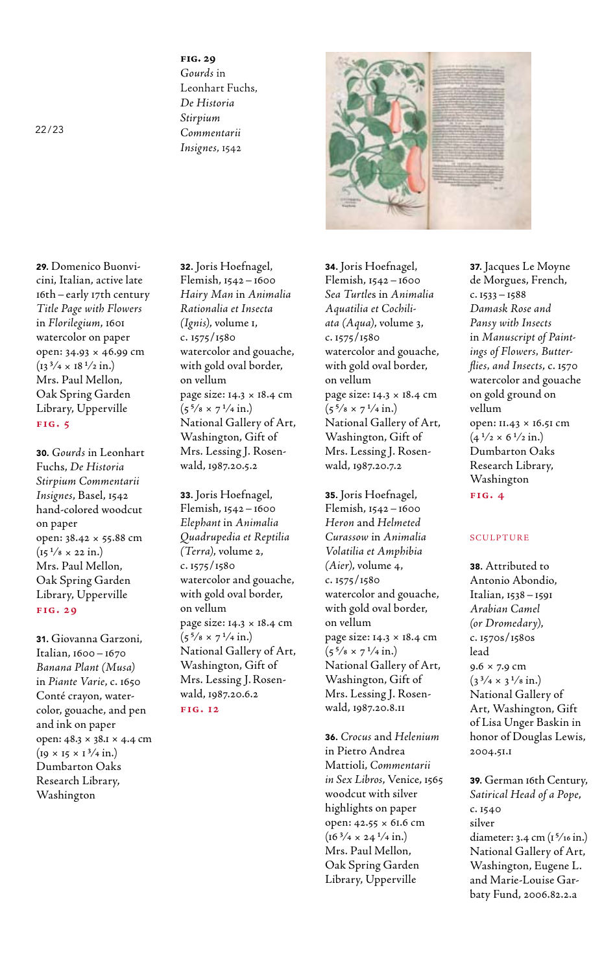**fig. 29**  *Gourds* in Leonhart Fuchs, *De Historia Stirpium Commentarii Insignes*, 1542



29. Domenico Buonvicini, Italian, active late 16th–early 17th century *Title Page with Flowers* in *Florilegium*, 1601 watercolor on paper open: 34.93 × 46.99 cm  $(13^{3}/4 \times 18^{1}/2 \text{ in.})$ Mrs. Paul Mellon, Oak Spring Garden Library, Upperville **fig. 5**

30. *Gourds* in Leonhart Fuchs, *De Historia Stirpium Commentarii Insignes*, Basel, 1542 hand-colored woodcut on paper open: 38.42 × 55.88 cm  $(15^{1}/8 \times 22 \text{ in.})$ Mrs. Paul Mellon, Oak Spring Garden Library, Upperville **fig. 29**

31. Giovanna Garzoni, Italian, 1600–1670 *Banana Plant (Musa)* in *Piante Varie*, c. 1650 Conté crayon, watercolor, gouache, and pen and ink on paper open: 48.3 × 38.1 × 4.4 cm  $(19 \times 15 \times 1^3/4 \text{ in.})$ Dumbarton Oaks Research Library, Washington

32. Joris Hoefnagel, Flemish, 1542–1600 *Hairy Man* in *Animalia Rationalia et Insecta (Ignis)*, volume 1, c. 1575/1580 watercolor and gouache, with gold oval border, on vellum page size: 14.3 × 18.4 cm  $(5^{5}/\text{s} \times 7^{1}/\text{4} \text{ in.})$ National Gallery of Art, Washington, Gift of Mrs. Lessing J. Rosenwald, 1987.20.5.2

33. Joris Hoefnagel, Flemish, 1542–1600 *Elephant* in *Animalia Quadrupedia et Reptilia (Terra)*, volume 2, c. 1575/1580 watercolor and gouache, with gold oval border, on vellum page size: 14.3 × 18.4 cm  $(5^{5}/\text{s} \times 7^{1}/\text{4} \text{ in.})$ National Gallery of Art, Washington, Gift of Mrs. Lessing J. Rosenwald, 1987.20.6.2 **fig. 12**

34. Joris Hoefnagel, Flemish, 1542–1600 *Sea Turtle*s in *Animalia Aquatilia et Cochiliata (Aqua)*, volume 3, c. 1575/1580 watercolor and gouache, with gold oval border, on vellum page size: 14.3 × 18.4 cm  $(5^{5}/\text{s} \times 7^{1}/\text{4} \text{ in.})$ National Gallery of Art, Washington, Gift of Mrs. Lessing J. Rosenwald, 1987.20.7.2

35. Joris Hoefnagel, Flemish, 1542–1600 *Heron* and *Helmeted Curassow* in *Animalia Volatilia et Amphibia (Aier)*, volume 4, c. 1575/1580 watercolor and gouache, with gold oval border, on vellum page size: 14.3 × 18.4 cm  $(5^{5}/\text{s} \times 7^{1}/\text{4} \text{ in.})$ National Gallery of Art, Washington, Gift of Mrs. Lessing J. Rosenwald, 1987.20.8.11

36. *Crocus* and *Helenium* in Pietro Andrea Mattioli, *Commentarii in Sex Libros*, Venice, 1565 woodcut with silver highlights on paper open: 42.55 × 61.6 cm  $(16^{3}/4 \times 24^{1}/4 \text{ in.})$ Mrs. Paul Mellon, Oak Spring Garden Library, Upperville

37. Jacques Le Moyne de Morgues, French, c. 1533–1588 *Damask Rose and Pansy with Insects* in *Manuscript of Paintings of Flowers, Butterflies, and Insects*, c. 1570 watercolor and gouache on gold ground on vellum open: 11.43 × 16.51 cm  $(4<sup>1</sup>/2 \times 6<sup>1</sup>/2 \text{ in.})$ Dumbarton Oaks Research Library, Washington **fig. 4**

## sculpture

38. Attributed to Antonio Abondio, Italian, 1538–1591 *Arabian Camel (or Dromedary)*, c. 1570s/1580s lead 9.6 × 7.9 cm  $(3^{3}/4 \times 3^{1}/8 \text{ in.})$ National Gallery of Art, Washington, Gift of Lisa Unger Baskin in honor of Douglas Lewis, 2004.51.1

39. German 16th Century, *Satirical Head of a Pope*, c. 1540 silver diameter: 3.4 cm (15⁄16 in.) National Gallery of Art, Washington, Eugene L. and Marie-Louise Garbaty Fund, 2006.82.2.a

22/23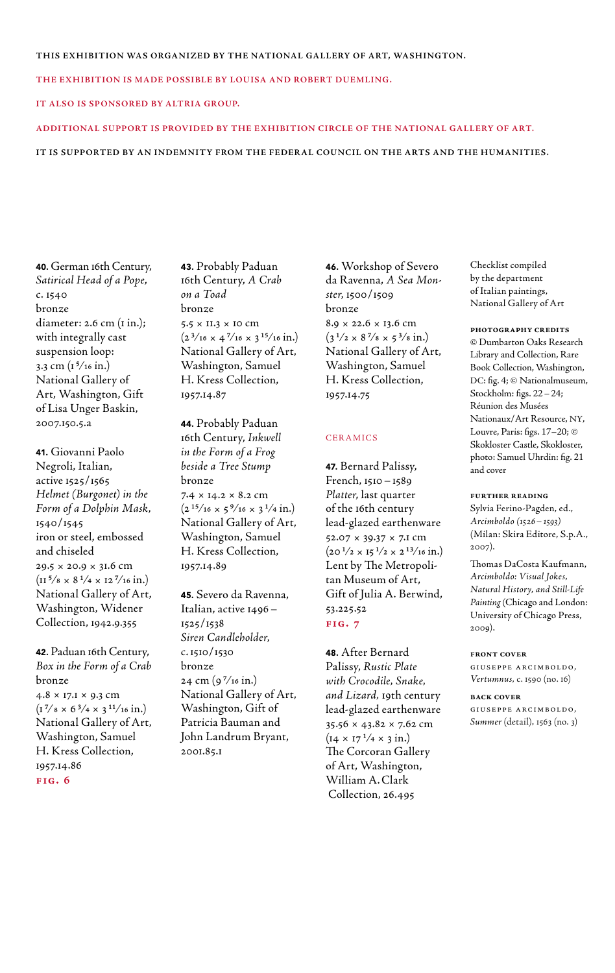#### THIS EXHIBITION WAS ORGANIZED BY THE NATIONAL GALLERY OF ART, WASHINGTON.

**The exhibition is made possible by Louisa and Robert Duemling.**

#### **It also is sponsored by Altria Group.**

#### **Additional support is provided by The Exhibition Circle of the National Gallery of Art.**

#### **it is supported by an indemnity from the Federal Council on the Arts and the Humanities.**

40. German 16th Century, *Satirical Head of a Pope*, c. 1540 bronze diameter: 2.6 cm (1 in.); with integrally cast suspension loop: 3.3 cm  $(1^{\frac{5}{16}}$  in.) National Gallery of Art, Washington, Gift of Lisa Unger Baskin, 2007.150.5.a

41. Giovanni Paolo Negroli, Italian, active 1525/1565 *Helmet (Burgonet) in the Form of a Dolphin Mask*, 1540/1545 iron or steel, embossed and chiseled 29.5 × 20.9 × 31.6 cm  $(\text{II} \frac{5}{8} \times 8 \frac{1}{4} \times \text{II} \frac{7}{16} \text{ in.})$ National Gallery of Art, Washington, Widener Collection, 1942.9.355

42. Paduan 16th Century, *Box in the Form of a Crab* bronze  $4.8 \times 17.1 \times 9.3$  cm  $(1^{7}/8 \times 6^{3}/4 \times 3^{11}/16 \text{ in.})$ National Gallery of Art, Washington, Samuel H. Kress Collection, 1957.14.86 **fig. 6**

43. Probably Paduan 16th Century, *A Crab on a Toad* bronze 5.5 × 11.3 × 10 cm  $(2^{3}/_{16} \times 4^{7}/_{16} \times 3^{15}/_{16} \text{ in.})$ National Gallery of Art, Washington, Samuel H. Kress Collection, 1957.14.87

44. Probably Paduan 16th Century, *Inkwell in the Form of a Frog beside a Tree Stump* bronze  $7.4 \times 14.2 \times 8.2$  cm  $(2^{15}/_{16} \times 5^{9}/_{16} \times 3^{1}/_{4} \text{ in.})$ National Gallery of Art, Washington, Samuel H. Kress Collection, 1957.14.89

45. Severo da Ravenna, Italian, active 1496– 1525/1538 *Siren Candleholder*, c.1510/1530 bronze  $24 \text{ cm} (9^{7}/16 \text{ in.})$ National Gallery of Art, Washington, Gift of Patricia Bauman and John Landrum Bryant, 2001.85.1

46. Workshop of Severo da Ravenna, *A Sea Monster*, 1500/1509 bronze 8.9 × 22.6 × 13.6 cm  $(3<sup>1</sup>/2 \times 8<sup>7</sup>/8 \times 5<sup>3</sup>/8 in.)$ National Gallery of Art, Washington, Samuel H. Kress Collection, 1957.14.75

#### **CERAMICS**

47. Bernard Palissy, French, 1510–1589 *Platter*, last quarter of the 16th century lead-glazed earthenware 52.07 × 39.37 × 7.1 cm  $(20<sup>1</sup>/2 \times 15<sup>1</sup>/2 \times 2<sup>13</sup>/16 \text{ in.})$ Lent by The Metropolitan Museum of Art, Gift of Julia A. Berwind, 53.225.52 **fig. 7**

48. After Bernard Palissy, *Rustic Plate with Crocodile, Snake, and Lizard,* 19th century lead-glazed earthenware 35.56 × 43.82 × 7.62 cm  $(14 \times 17^{1/4} \times 3 \text{ in.})$ The Corcoran Gallery of Art, Washington, William A.Clark Collection, 26.495

Checklist compiled by the department of Italian paintings, National Gallery of Art

#### **photography credits**

© Dumbarton Oaks Research Library and Collection, Rare Book Collection, Washington, DC: fig. 4; © Nationalmuseum, Stockholm: figs. 22–24; Réunion des Musées Nationaux/Art Resource, NY, Louvre, Paris: figs. 17–20; © Skokloster Castle, Skokloster, photo: Samuel Uhrdin: fig. 21 and cover

#### **further reading**

Sylvia Ferino-Pagden, ed., *Arcimboldo (1526–1593)* (Milan: Skira Editore, S.p.A., 2007).

Thomas DaCosta Kaufmann, *Arcimboldo: Visual Jokes, Natural History, and Still-Life Painting* (Chicago and London: University of Chicago Press, 2009).

#### **front cover**

giuseppe arcimboldo, *Vertumnus*, c. 1590 (no. 16)

**back cover**

giuseppe arcimboldo, *Summer* (detail)*,* 1563 (no. 3)